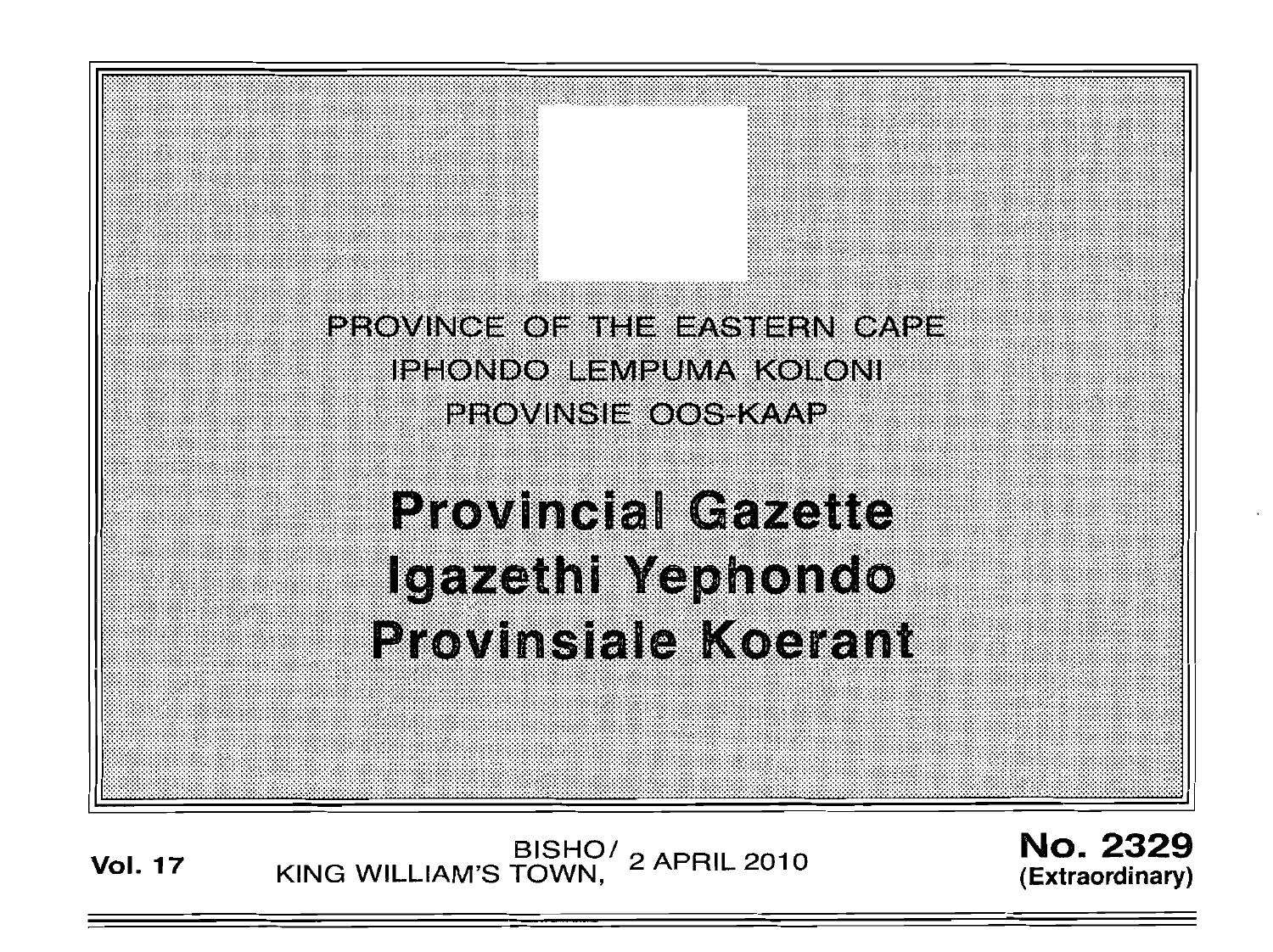

Vol. <sup>17</sup> BISHO/ KING WILLIAM'S TOWN, 2 APRIL 2010

No. 2329 (Extraordinary)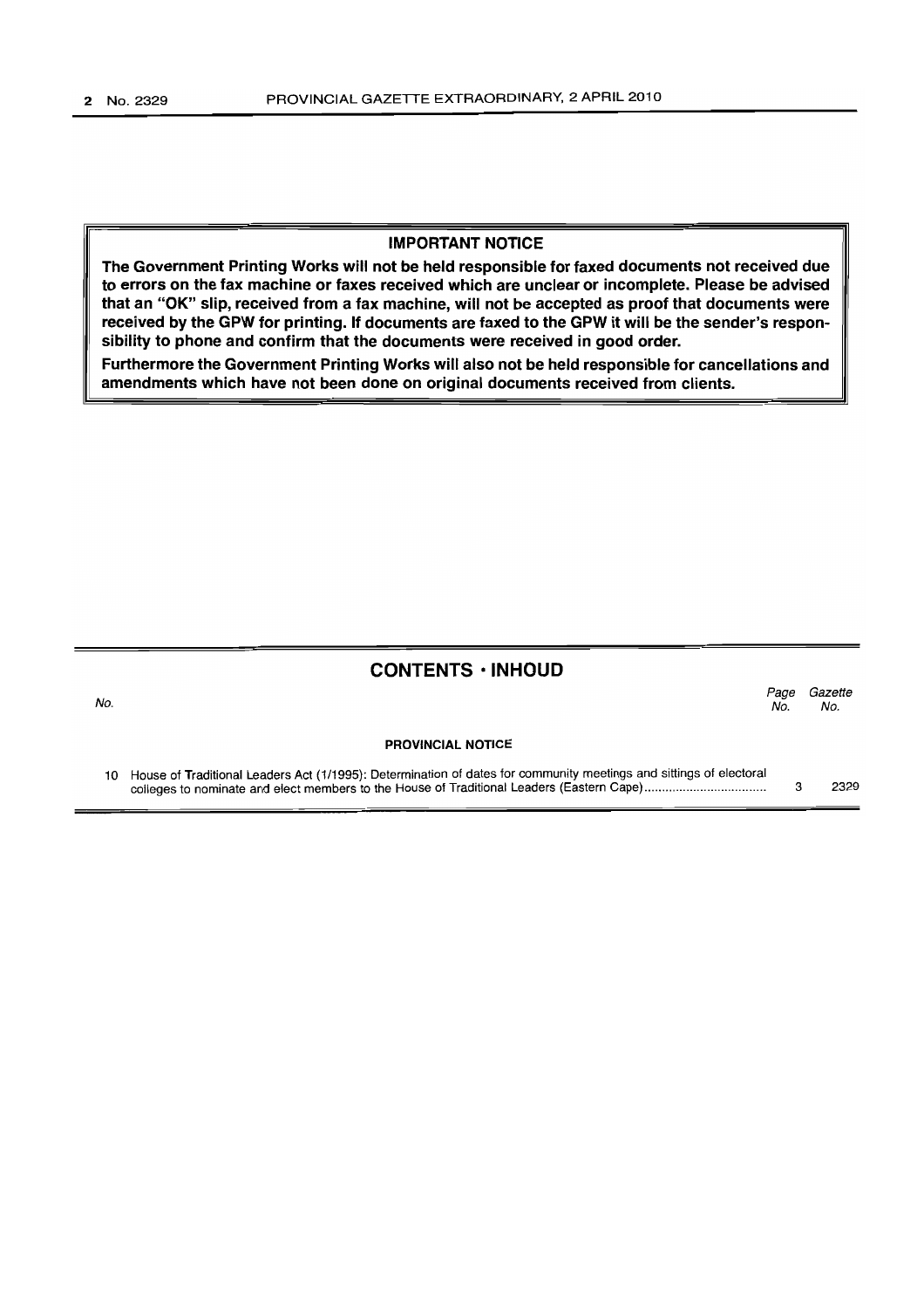#### IMPORTANT NOTICE

The Government Printing Works will not be held responsible for faxed documents not received due to errors on the fax machine or faxes received which are unclear or incomplete. Please be advised that an "OK" slip, received from a fax machine, will not be accepted as proof that documents were received by the GPW for printing. If documents are faxed to the GPW it will be the sender's responsibility to phone and confirm that the documents were received in good order.

Furthermore the Government Printing Works will also not be held responsible for cancellations and amendments which have not been done on original documents received from clients.

### CONTENTS • INHOUD

| I<br>۰. |  |
|---------|--|
|         |  |

*Page Gazette* No. No.

PROVINCIAL NOTICE

10 House of Traditional Leaders Act (1/1995): Determination of dates for community meetings and sittings of electoral colleges to nominate and elect members to the House of Traditional Leaders (Eastern Cape) . 3 2329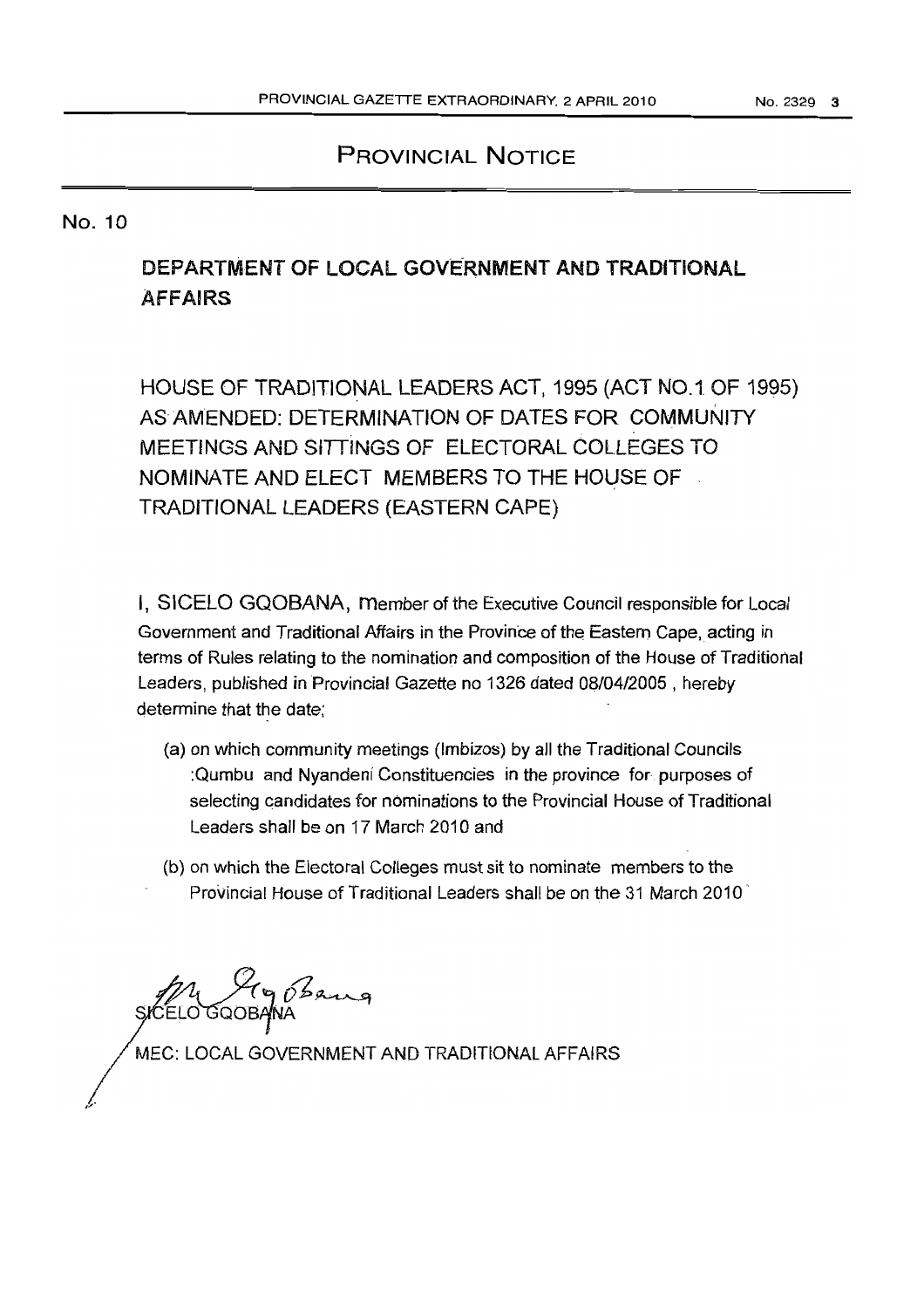## PROVINCIAL NOTICE

### No. 10

# DEPARTMENT OF LOCAL GOVERNMENT AND TRADITIONAL AFFAIRS

HOUSE OF TRADITIONAL LEADERS ACT, 1995 (ACT NO.1. OF 1995) AS AMENDED: DETERMINATION OF DATES FOR COMMUNITY MEETINGS AND SITTINGS OF ELECTORAL COLLEGES TO NOMINATE AND ELECT MEMBERS TO THE HOUSE OF TRADITIONAL LEADERS (EASTERN CAPE)

I, SICELO GQOBANA, Member of the Executive Council responsible for Local Government and Traditional Affairs in the Province of the Eastern Cape, acting in terms of Rules relating to the nomination and composition of the House of Traditional Leaders, published in Provincial Gazette no 1326 dated 08104/2005 , hereby determine that the date;

- (a) on which community meetings (Imbizos) by all the Traditional Councils :Qumbu and Nyandeni Constituencies in the province for. purposes of selecting candidates for nominations to the Provincial House of Traditional Leaders shall be on 17 March 2010 and
- (b) on which the Electoral Colleges must sit to nominate members to the Provincial House of Traditional Leaders shall be on the 31 March 2010

 $(p)$ ELO GQOBAJNA

MEC: LOCAL GOVERNMENT AND TRADITIONAL AFFAIRS